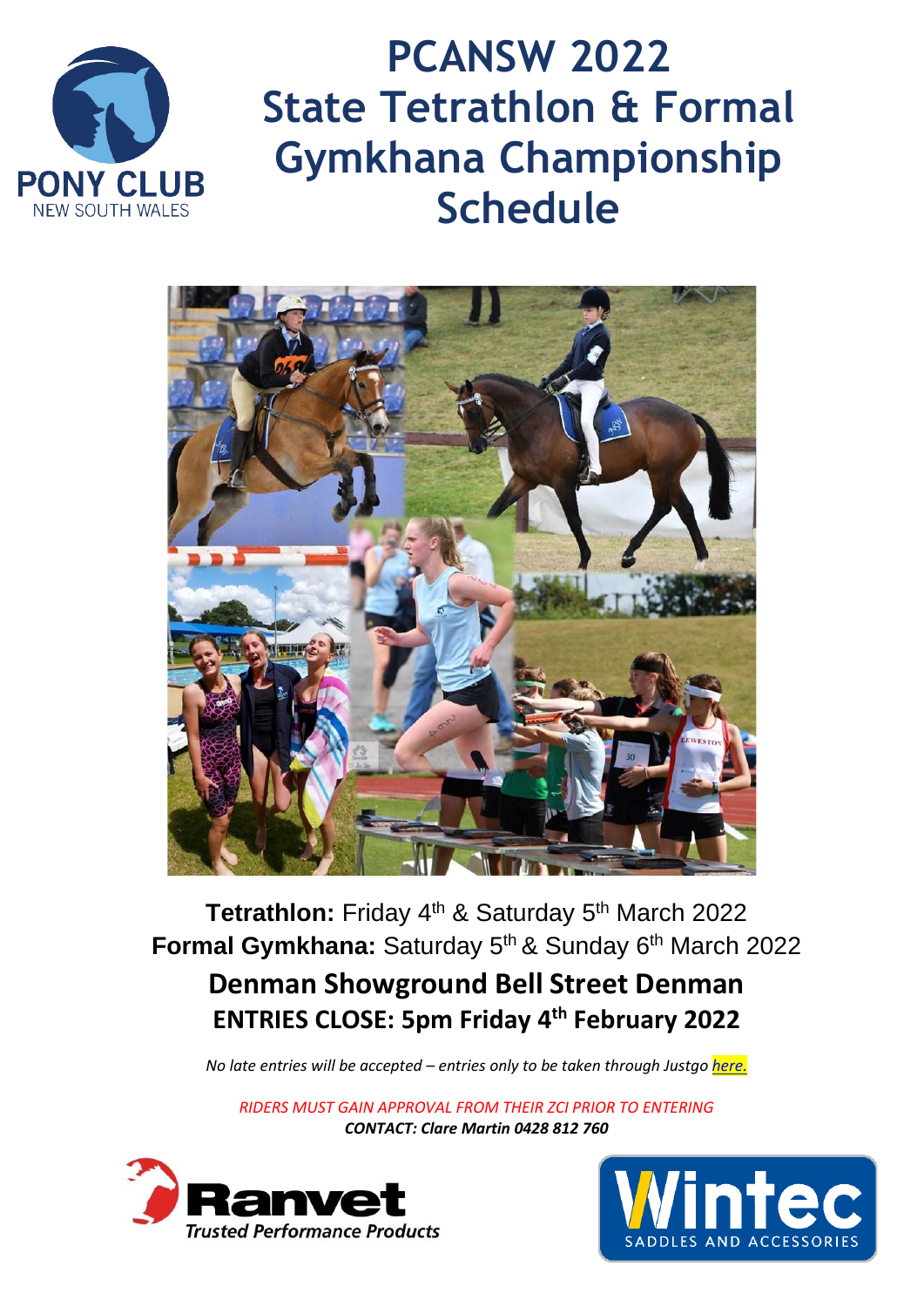

**PCANSW 2022 State Tetrathlon & Formal Gymkhana Championship Schedule**



**Tetrathlon:** Friday 4<sup>th</sup> & Saturday 5<sup>th</sup> March 2022 Formal Gymkhana: Saturday 5<sup>th</sup> & Sunday 6<sup>th</sup> March 2022 **Denman Showground Bell Street Denman ENTRIES CLOSE: 5pm Friday 4 th February 2022**

*No late entries will be accepted – entries only to be taken through Justgo [here.](https://pca.justgo.com/workbench/public/events?ref=AD0C1280DCAE6C3B552853808660C3C5851E6821)*

*RIDERS MUST GAIN APPROVAL FROM THEIR ZCI PRIOR TO ENTERING CONTACT: Clare Martin 0428 812 760*



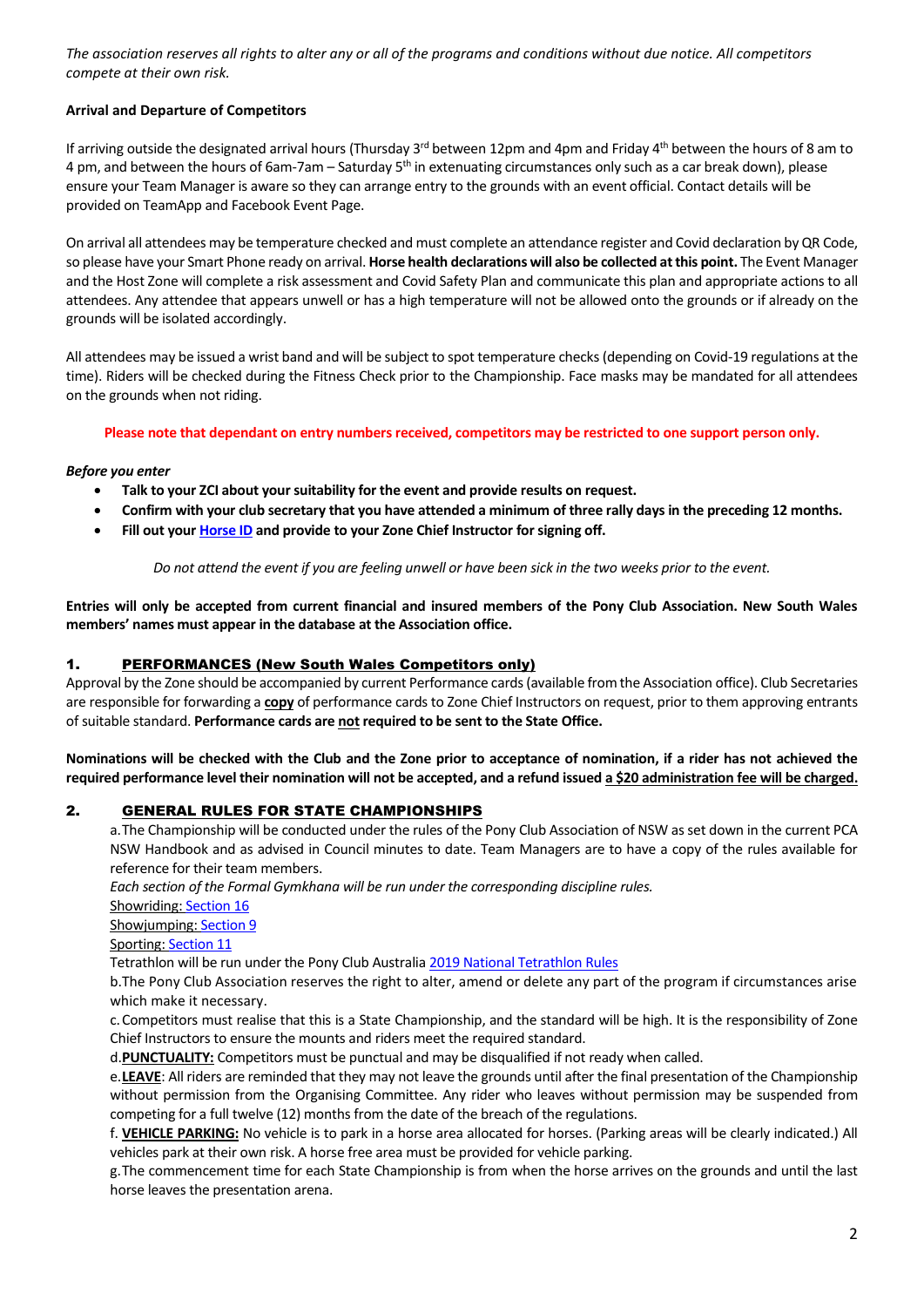*The association reserves all rights to alter any or all of the programs and conditions without due notice. All competitors compete at their own risk.* 

### **Arrival and Departure of Competitors**

If arriving outside the designated arrival hours (Thursday 3<sup>rd</sup> between 12pm and 4pm and Friday 4<sup>th</sup> between the hours of 8 am to 4 pm, and between the hours of 6am-7am – Saturday 5<sup>th</sup> in extenuating circumstances only such as a car break down), please ensure your Team Manager is aware so they can arrange entry to the grounds with an event official. Contact details will be provided on TeamApp and Facebook Event Page.

On arrival all attendees may be temperature checked and must complete an attendance register and Covid declaration by QR Code, so please have your Smart Phone ready on arrival. **Horse health declarations will also be collected at this point.** The Event Manager and the Host Zone will complete a risk assessment and Covid Safety Plan and communicate this plan and appropriate actions to all attendees. Any attendee that appears unwell or has a high temperature will not be allowed onto the grounds or if already on the grounds will be isolated accordingly.

All attendees may be issued a wrist band and will be subject to spot temperature checks(depending on Covid-19 regulations at the time). Riders will be checked during the Fitness Check prior to the Championship. Face masks may be mandated for all attendees on the grounds when not riding.

#### **Please note that dependant on entry numbers received, competitors may be restricted to one support person only.**

#### *Before you enter*

- **Talk to your ZCI about your suitability for the event and provide results on request.**
- **Confirm with your club secretary that you have attended a minimum of three rally days in the preceding 12 months.**
- **Fill out you[r Horse ID](https://pcansw.org.au/docs/general/78/horse_id-2.pdf) and provide to your Zone Chief Instructor for signing off.**

*Do not attend the event if you are feeling unwell or have been sick in the two weeks prior to the event.*

**Entries will only be accepted from current financial and insured members of the Pony Club Association. New South Wales members' names must appear in the database at the Association office.** 

### 1. PERFORMANCES (New South Wales Competitors only)

Approval by the Zone should be accompanied by current Performance cards (available from the Association office). Club Secretaries are responsible for forwarding a **copy** of performance cards to Zone Chief Instructors on request, prior to them approving entrants of suitable standard. **Performance cards are not required to be sent to the State Office.**

**Nominations will be checked with the Club and the Zone prior to acceptance of nomination, if a rider has not achieved the required performance level their nomination will not be accepted, and a refund issued a \$20 administration fee will be charged.**

### 2. GENERAL RULES FOR STATE CHAMPIONSHIPS

a.The Championship will be conducted under the rules of the Pony Club Association of NSW as set down in the current PCA NSW Handbook and as advised in Council minutes to date. Team Managers are to have a copy of the rules available for reference for their team members.

*Each section of the Formal Gymkhana will be run under the corresponding discipline rules.* 

Showriding[: Section 16](https://pcansw.org.au/docs/general/45/section_16_.pdf)

Showjumping[: Section 9](https://pcansw.org.au/docs/general/45/section_09_july_2020.pdf)

Sporting[: Section 11](https://pcansw.org.au/docs/general/45/section_11_-_all_games.pdf)

Tetrathlon will be run under the Pony Club Australia 2019 [National Tetrathlon Rules](https://pcansw.org.au/docs/general/77/pca__2019_tet_rules.pdf)

b.The Pony Club Association reserves the right to alter, amend or delete any part of the program if circumstances arise which make it necessary.

c.Competitors must realise that this is a State Championship, and the standard will be high. It is the responsibility of Zone Chief Instructors to ensure the mounts and riders meet the required standard.

d.**PUNCTUALITY:** Competitors must be punctual and may be disqualified if not ready when called.

e.**LEAVE**: All riders are reminded that they may not leave the grounds until after the final presentation of the Championship without permission from the Organising Committee. Any rider who leaves without permission may be suspended from competing for a full twelve (12) months from the date of the breach of the regulations.

f. **VEHICLE PARKING:** No vehicle is to park in a horse area allocated for horses. (Parking areas will be clearly indicated.) All vehicles park at their own risk. A horse free area must be provided for vehicle parking.

g.The commencement time for each State Championship is from when the horse arrives on the grounds and until the last horse leaves the presentation arena.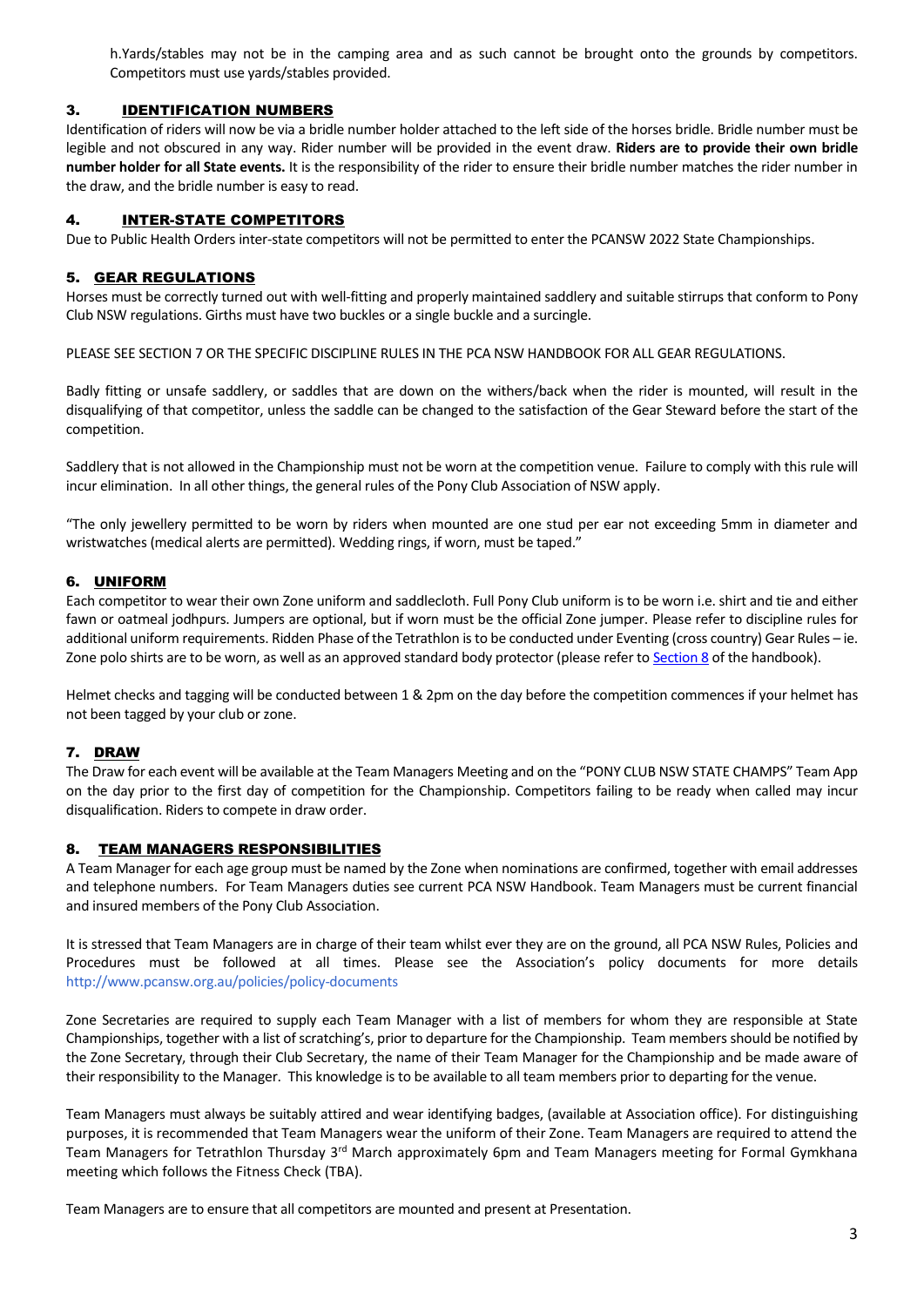h.Yards/stables may not be in the camping area and as such cannot be brought onto the grounds by competitors. Competitors must use yards/stables provided.

## 3. IDENTIFICATION NUMBERS

Identification of riders will now be via a bridle number holder attached to the left side of the horses bridle. Bridle number must be legible and not obscured in any way. Rider number will be provided in the event draw. **Riders are to provide their own bridle number holder for all State events.** It is the responsibility of the rider to ensure their bridle number matches the rider number in the draw, and the bridle number is easy to read.

### 4. INTER-STATE COMPETITORS

Due to Public Health Orders inter-state competitors will not be permitted to enter the PCANSW 2022 State Championships.

### 5. GEAR REGULATIONS

Horses must be correctly turned out with well-fitting and properly maintained saddlery and suitable stirrups that conform to Pony Club NSW regulations. Girths must have two buckles or a single buckle and a surcingle.

PLEASE SEE SECTION 7 OR THE SPECIFIC DISCIPLINE RULES IN THE PCA NSW HANDBOOK FOR ALL GEAR REGULATIONS.

Badly fitting or unsafe saddlery, or saddles that are down on the withers/back when the rider is mounted, will result in the disqualifying of that competitor, unless the saddle can be changed to the satisfaction of the Gear Steward before the start of the competition.

Saddlery that is not allowed in the Championship must not be worn at the competition venue. Failure to comply with this rule will incur elimination. In all other things, the general rules of the Pony Club Association of NSW apply.

"The only jewellery permitted to be worn by riders when mounted are one stud per ear not exceeding 5mm in diameter and wristwatches (medical alerts are permitted). Wedding rings, if worn, must be taped."

## 6. UNIFORM

Each competitor to wear their own Zone uniform and saddlecloth. Full Pony Club uniform is to be worn i.e. shirt and tie and either fawn or oatmeal jodhpurs. Jumpers are optional, but if worn must be the official Zone jumper. Please refer to discipline rules for additional uniform requirements. Ridden Phase of the Tetrathlon is to be conducted under Eventing (cross country) Gear Rules – ie. Zone polo shirts are to be worn, as well as an approved standard body protector (please refer to [Section 8](https://pcansw.org.au/docs/general/45/section_08.pdf) of the handbook).

Helmet checks and tagging will be conducted between 1 & 2pm on the day before the competition commences if your helmet has not been tagged by your club or zone.

## 7. DRAW

The Draw for each event will be available at the Team Managers Meeting and on the "PONY CLUB NSW STATE CHAMPS" Team App on the day prior to the first day of competition for the Championship. Competitors failing to be ready when called may incur disqualification. Riders to compete in draw order.

### 8. TEAM MANAGERS RESPONSIBILITIES

A Team Manager for each age group must be named by the Zone when nominations are confirmed, together with email addresses and telephone numbers. For Team Managers duties see current PCA NSW Handbook. Team Managers must be current financial and insured members of the Pony Club Association.

It is stressed that Team Managers are in charge of their team whilst ever they are on the ground, all PCA NSW Rules, Policies and Procedures must be followed at all times. Please see the Association's policy documents for more details <http://www.pcansw.org.au/policies/policy-documents>

Zone Secretaries are required to supply each Team Manager with a list of members for whom they are responsible at State Championships, together with a list of scratching's, prior to departure for the Championship. Team members should be notified by the Zone Secretary, through their Club Secretary, the name of their Team Manager for the Championship and be made aware of their responsibility to the Manager. This knowledge is to be available to all team members prior to departing for the venue.

Team Managers must always be suitably attired and wear identifying badges, (available at Association office). For distinguishing purposes, it is recommended that Team Managers wear the uniform of their Zone. Team Managers are required to attend the Team Managers for Tetrathlon Thursday 3<sup>rd</sup> March approximately 6pm and Team Managers meeting for Formal Gymkhana meeting which follows the Fitness Check (TBA).

Team Managers are to ensure that all competitors are mounted and present at Presentation.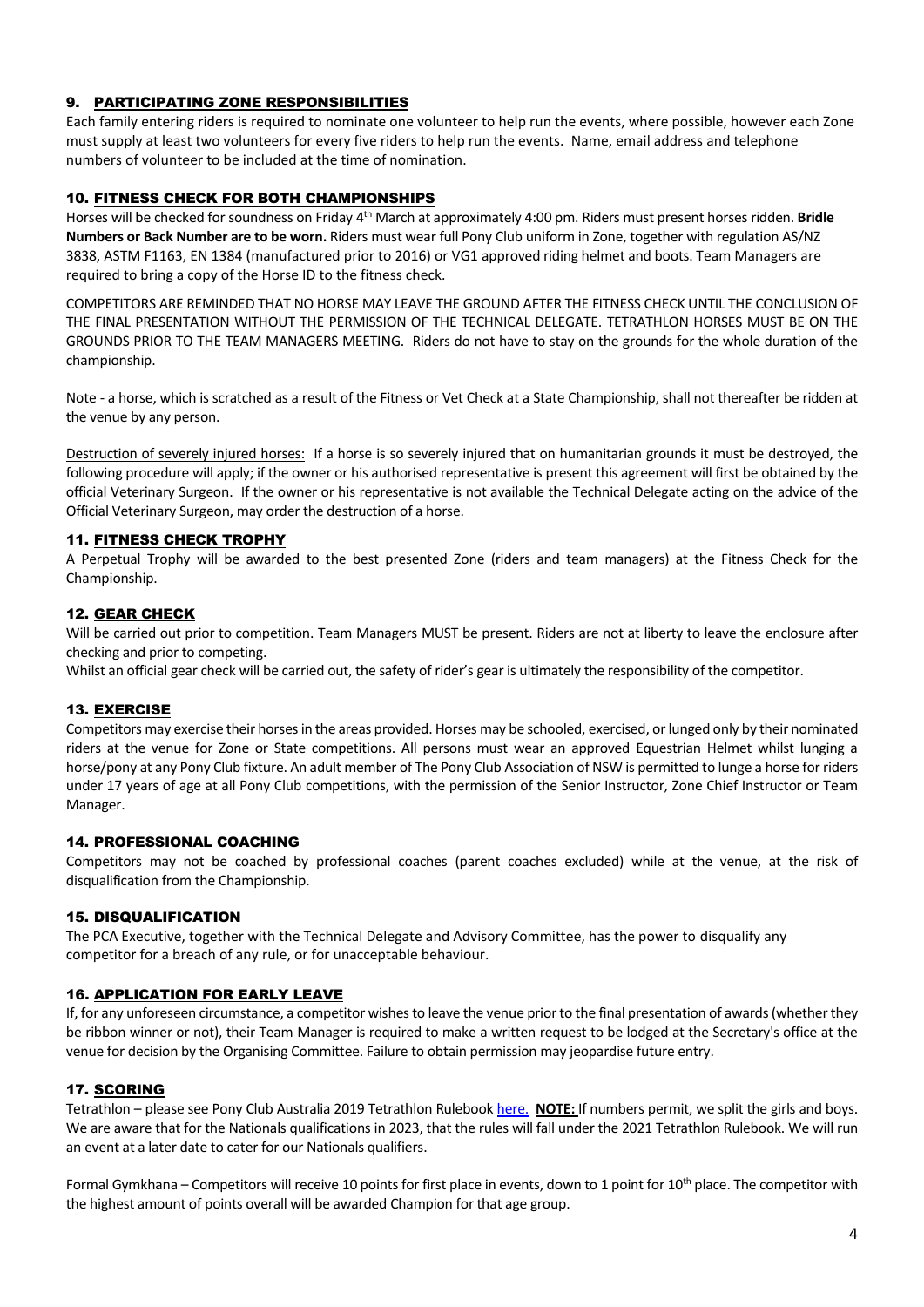# 9. PARTICIPATING ZONE RESPONSIBILITIES

Each family entering riders is required to nominate one volunteer to help run the events, where possible, however each Zone must supply at least two volunteers for every five riders to help run the events. Name, email address and telephone numbers of volunteer to be included at the time of nomination.

# 10. FITNESS CHECK FOR BOTH CHAMPIONSHIPS

Horses will be checked for soundness on Friday 4 th March at approximately 4:00 pm. Riders must present horses ridden. **Bridle Numbers or Back Number are to be worn.** Riders must wear full Pony Club uniform in Zone, together with regulation AS/NZ 3838, ASTM F1163, EN 1384 (manufactured prior to 2016) or VG1 approved riding helmet and boots. Team Managers are required to bring a copy of the Horse ID to the fitness check.

COMPETITORS ARE REMINDED THAT NO HORSE MAY LEAVE THE GROUND AFTER THE FITNESS CHECK UNTIL THE CONCLUSION OF THE FINAL PRESENTATION WITHOUT THE PERMISSION OF THE TECHNICAL DELEGATE. TETRATHLON HORSES MUST BE ON THE GROUNDS PRIOR TO THE TEAM MANAGERS MEETING. Riders do not have to stay on the grounds for the whole duration of the championship.

Note - a horse, which is scratched as a result of the Fitness or Vet Check at a State Championship, shall not thereafter be ridden at the venue by any person.

Destruction of severely injured horses: If a horse is so severely injured that on humanitarian grounds it must be destroyed, the following procedure will apply; if the owner or his authorised representative is present this agreement will first be obtained by the official Veterinary Surgeon. If the owner or his representative is not available the Technical Delegate acting on the advice of the Official Veterinary Surgeon, may order the destruction of a horse.

## 11. FITNESS CHECK TROPHY

A Perpetual Trophy will be awarded to the best presented Zone (riders and team managers) at the Fitness Check for the Championship.

### 12. GEAR CHECK

Will be carried out prior to competition. Team Managers MUST be present. Riders are not at liberty to leave the enclosure after checking and prior to competing.

Whilst an official gear check will be carried out, the safety of rider's gear is ultimately the responsibility of the competitor.

## 13. EXERCISE

Competitors may exercise their horses in the areas provided. Horses may be schooled, exercised, or lunged only by their nominated riders at the venue for Zone or State competitions. All persons must wear an approved Equestrian Helmet whilst lunging a horse/pony at any Pony Club fixture. An adult member of The Pony Club Association of NSW is permitted to lunge a horse for riders under 17 years of age at all Pony Club competitions, with the permission of the Senior Instructor, Zone Chief Instructor or Team Manager.

## 14. PROFESSIONAL COACHING

Competitors may not be coached by professional coaches (parent coaches excluded) while at the venue, at the risk of disqualification from the Championship.

### 15. DISQUALIFICATION

The PCA Executive, together with the Technical Delegate and Advisory Committee, has the power to disqualify any competitor for a breach of any rule, or for unacceptable behaviour.

### 16. APPLICATION FOR EARLY LEAVE

If, for any unforeseen circumstance, a competitor wishes to leave the venue prior to the final presentation of awards (whether they be ribbon winner or not), their Team Manager is required to make a written request to be lodged at the Secretary's office at the venue for decision by the Organising Committee. Failure to obtain permission may jeopardise future entry.

## 17. SCORING

Tetrathlon – please see Pony Club Australia 2019 Tetrathlon Ruleboo[k here.](https://pcansw.org.au/docs/general/77/pca__2019_tet_rules.pdf) **NOTE:** If numbers permit, we split the girls and boys. We are aware that for the Nationals qualifications in 2023, that the rules will fall under the 2021 Tetrathlon Rulebook. We will run an event at a later date to cater for our Nationals qualifiers.

Formal Gymkhana – Competitors will receive 10 points for first place in events, down to 1 point for  $10^{th}$  place. The competitor with the highest amount of points overall will be awarded Champion for that age group.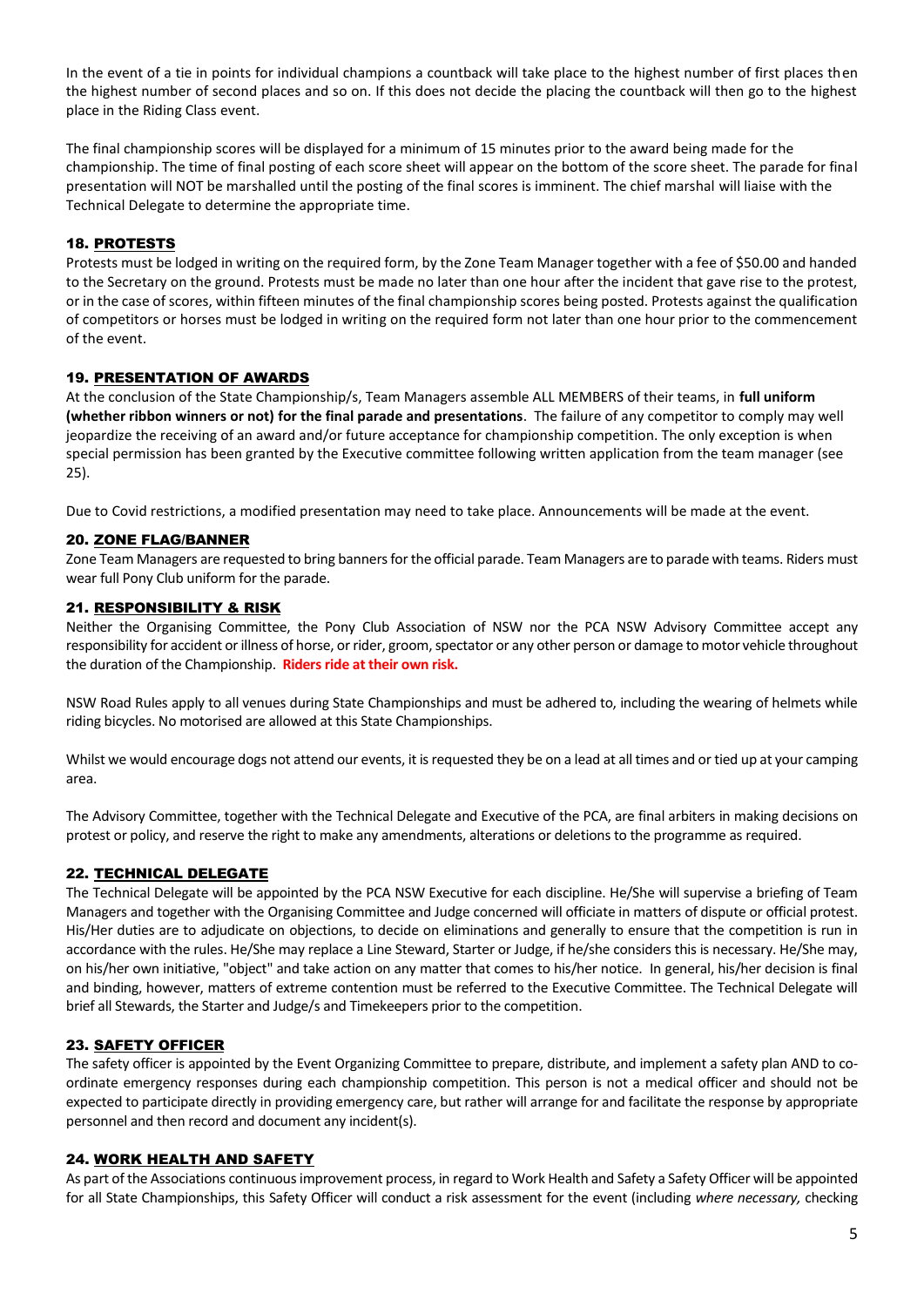In the event of a tie in points for individual champions a countback will take place to the highest number of first places then the highest number of second places and so on. If this does not decide the placing the countback will then go to the highest place in the Riding Class event.

The final championship scores will be displayed for a minimum of 15 minutes prior to the award being made for the championship. The time of final posting of each score sheet will appear on the bottom of the score sheet. The parade for final presentation will NOT be marshalled until the posting of the final scores is imminent. The chief marshal will liaise with the Technical Delegate to determine the appropriate time.

### 18. PROTESTS

Protests must be lodged in writing on the required form, by the Zone Team Manager together with a fee of \$50.00 and handed to the Secretary on the ground. Protests must be made no later than one hour after the incident that gave rise to the protest, or in the case of scores, within fifteen minutes of the final championship scores being posted. Protests against the qualification of competitors or horses must be lodged in writing on the required form not later than one hour prior to the commencement of the event.

### 19. PRESENTATION OF AWARDS

At the conclusion of the State Championship/s, Team Managers assemble ALL MEMBERS of their teams, in **full uniform (whether ribbon winners or not) for the final parade and presentations**. The failure of any competitor to comply may well jeopardize the receiving of an award and/or future acceptance for championship competition. The only exception is when special permission has been granted by the Executive committee following written application from the team manager (see 25).

Due to Covid restrictions, a modified presentation may need to take place. Announcements will be made at the event.

### 20. ZONE FLAG/BANNER

Zone Team Managers are requested to bring banners for the official parade. Team Managers are to parade with teams. Riders must wear full Pony Club uniform for the parade.

### 21. RESPONSIBILITY & RISK

Neither the Organising Committee, the Pony Club Association of NSW nor the PCA NSW Advisory Committee accept any responsibility for accident or illness of horse, or rider, groom, spectator or any other person or damage to motor vehicle throughout the duration of the Championship. **Riders ride at their own risk.**

NSW Road Rules apply to all venues during State Championships and must be adhered to, including the wearing of helmets while riding bicycles. No motorised are allowed at this State Championships.

Whilst we would encourage dogs not attend our events, it is requested they be on a lead at all times and or tied up at your camping area.

The Advisory Committee, together with the Technical Delegate and Executive of the PCA, are final arbiters in making decisions on protest or policy, and reserve the right to make any amendments, alterations or deletions to the programme as required.

## 22. TECHNICAL DELEGATE

The Technical Delegate will be appointed by the PCA NSW Executive for each discipline. He/She will supervise a briefing of Team Managers and together with the Organising Committee and Judge concerned will officiate in matters of dispute or official protest. His/Her duties are to adjudicate on objections, to decide on eliminations and generally to ensure that the competition is run in accordance with the rules. He/She may replace a Line Steward, Starter or Judge, if he/she considers this is necessary. He/She may, on his/her own initiative, "object" and take action on any matter that comes to his/her notice. In general, his/her decision is final and binding, however, matters of extreme contention must be referred to the Executive Committee. The Technical Delegate will brief all Stewards, the Starter and Judge/s and Timekeepers prior to the competition.

### 23. SAFETY OFFICER

The safety officer is appointed by the Event Organizing Committee to prepare, distribute, and implement a safety plan AND to coordinate emergency responses during each championship competition. This person is not a medical officer and should not be expected to participate directly in providing emergency care, but rather will arrange for and facilitate the response by appropriate personnel and then record and document any incident(s).

### 24. WORK HEALTH AND SAFETY

As part of the Associations continuous improvement process, in regard to Work Health and Safety a Safety Officer will be appointed for all State Championships, this Safety Officer will conduct a risk assessment for the event (including *where necessary,* checking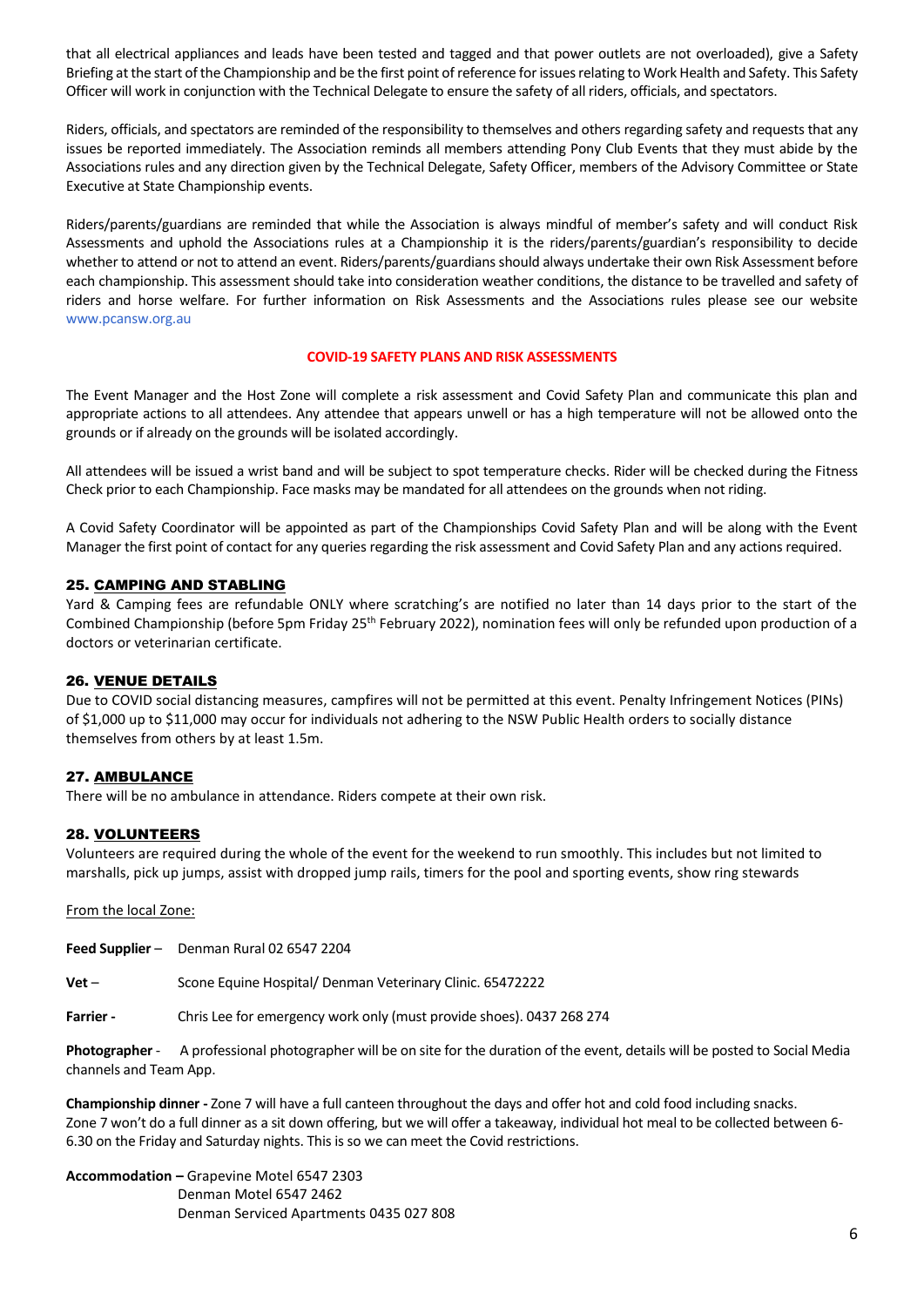that all electrical appliances and leads have been tested and tagged and that power outlets are not overloaded), give a Safety Briefing at the start of the Championship and be the first point of reference for issues relating to Work Health and Safety. This Safety Officer will work in conjunction with the Technical Delegate to ensure the safety of all riders, officials, and spectators.

Riders, officials, and spectators are reminded of the responsibility to themselves and others regarding safety and requests that any issues be reported immediately. The Association reminds all members attending Pony Club Events that they must abide by the Associations rules and any direction given by the Technical Delegate, Safety Officer, members of the Advisory Committee or State Executive at State Championship events.

Riders/parents/guardians are reminded that while the Association is always mindful of member's safety and will conduct Risk Assessments and uphold the Associations rules at a Championship it is the riders/parents/guardian's responsibility to decide whether to attend or not to attend an event. Riders/parents/guardians should always undertake their own Risk Assessment before each championship. This assessment should take into consideration weather conditions, the distance to be travelled and safety of riders and horse welfare. For further information on Risk Assessments and the Associations rules please see our website [www.pcansw.org.au](http://www.pcansw.org.au/)

### **COVID-19 SAFETY PLANS AND RISK ASSESSMENTS**

The Event Manager and the Host Zone will complete a risk assessment and Covid Safety Plan and communicate this plan and appropriate actions to all attendees. Any attendee that appears unwell or has a high temperature will not be allowed onto the grounds or if already on the grounds will be isolated accordingly.

All attendees will be issued a wrist band and will be subject to spot temperature checks. Rider will be checked during the Fitness Check prior to each Championship. Face masks may be mandated for all attendees on the grounds when not riding.

A Covid Safety Coordinator will be appointed as part of the Championships Covid Safety Plan and will be along with the Event Manager the first point of contact for any queries regarding the risk assessment and Covid Safety Plan and any actions required.

### 25. CAMPING AND STABLING

Yard & Camping fees are refundable ONLY where scratching's are notified no later than 14 days prior to the start of the Combined Championship (before 5pm Friday 25<sup>th</sup> February 2022), nomination fees will only be refunded upon production of a doctors or veterinarian certificate.

### 26. VENUE DETAILS

Due to COVID social distancing measures, campfires will not be permitted at this event. Penalty Infringement Notices (PINs) of \$1,000 up to \$11,000 may occur for individuals not adhering to the NSW Public Health orders to socially distance themselves from others by at least 1.5m.

### 27. AMBULANCE

There will be no ambulance in attendance. Riders compete at their own risk.

## 28. VOLUNTEERS

Volunteers are required during the whole of the event for the weekend to run smoothly. This includes but not limited to marshalls, pick up jumps, assist with dropped jump rails, timers for the pool and sporting events, show ring stewards

From the local Zone:

**Feed Supplier** – Denman Rural 02 6547 2204

**Vet** – Scone Equine Hospital/ Denman Veterinary Clinic. 65472222

**Farrier -** Chris Lee for emergency work only (must provide shoes). 0437 268 274

**Photographer** - A professional photographer will be on site for the duration of the event, details will be posted to Social Media channels and Team App.

**Championship dinner -** Zone 7 will have a full canteen throughout the days and offer hot and cold food including snacks. Zone 7 won't do a full dinner as a sit down offering, but we will offer a takeaway, individual hot meal to be collected between 6- 6.30 on the Friday and Saturday nights. This is so we can meet the Covid restrictions.

**Accommodation –** Grapevine Motel 6547 2303 Denman Motel 6547 2462 Denman Serviced Apartments 0435 027 808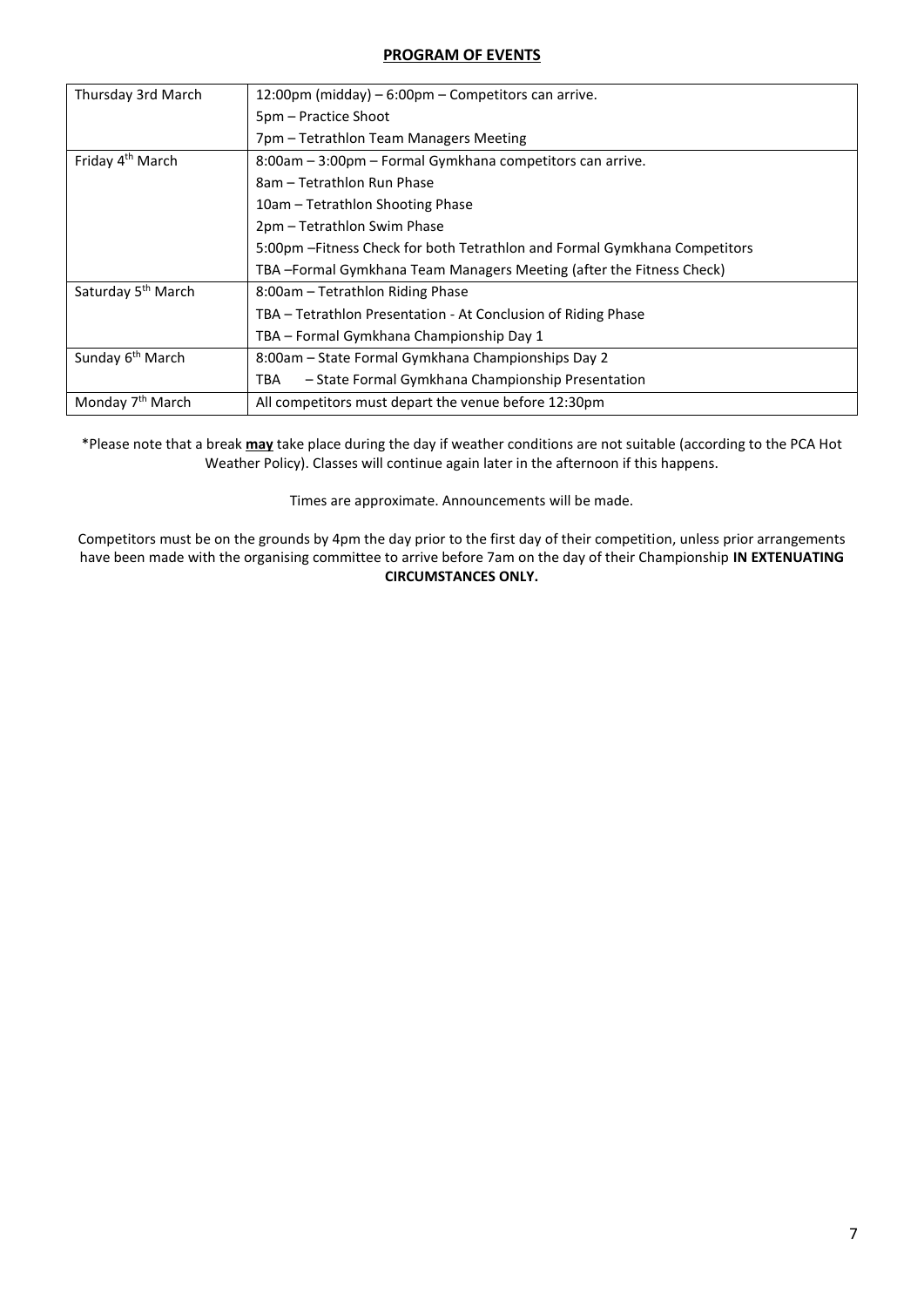## **PROGRAM OF EVENTS**

| Thursday 3rd March             | 12:00pm (midday) – 6:00pm – Competitors can arrive.                        |
|--------------------------------|----------------------------------------------------------------------------|
|                                | 5pm – Practice Shoot                                                       |
|                                | 7pm - Tetrathlon Team Managers Meeting                                     |
| Friday 4 <sup>th</sup> March   | 8:00am - 3:00pm - Formal Gymkhana competitors can arrive.                  |
|                                | 8am – Tetrathlon Run Phase                                                 |
|                                | 10am – Tetrathlon Shooting Phase                                           |
|                                | 2pm - Tetrathlon Swim Phase                                                |
|                                | 5:00pm - Fitness Check for both Tetrathlon and Formal Gymkhana Competitors |
|                                | TBA-Formal Gymkhana Team Managers Meeting (after the Fitness Check)        |
| Saturday 5 <sup>th</sup> March | 8:00am - Tetrathlon Riding Phase                                           |
|                                | TBA – Tetrathlon Presentation - At Conclusion of Riding Phase              |
|                                | TBA – Formal Gymkhana Championship Day 1                                   |
| Sunday 6 <sup>th</sup> March   | 8:00am – State Formal Gymkhana Championships Day 2                         |
|                                | - State Formal Gymkhana Championship Presentation<br>TBA                   |
| Monday 7 <sup>th</sup> March   | All competitors must depart the venue before 12:30pm                       |

\*Please note that a break **may** take place during the day if weather conditions are not suitable (according to the PCA Hot Weather Policy). Classes will continue again later in the afternoon if this happens.

Times are approximate. Announcements will be made.

Competitors must be on the grounds by 4pm the day prior to the first day of their competition, unless prior arrangements have been made with the organising committee to arrive before 7am on the day of their Championship **IN EXTENUATING CIRCUMSTANCES ONLY.**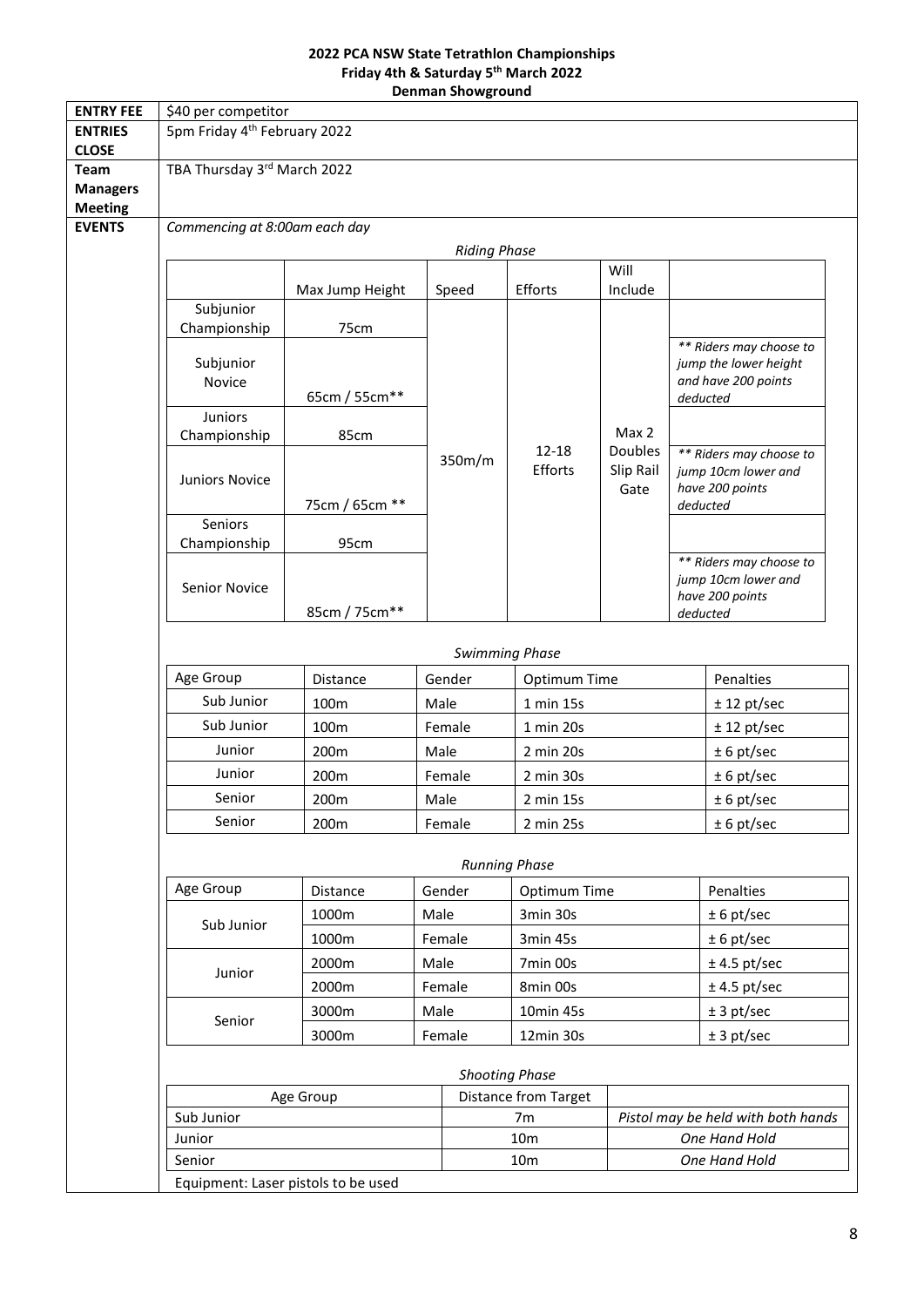### **2022 PCA NSW State Tetrathlon Championships Friday 4th & Saturday 5 th March 2022 Denman Showground**

| <b>ENTRY FEE</b>                  | \$40 per competitor                                                                                                   |                                     |        |        |              |                         |                                                                                     |                                        |
|-----------------------------------|-----------------------------------------------------------------------------------------------------------------------|-------------------------------------|--------|--------|--------------|-------------------------|-------------------------------------------------------------------------------------|----------------------------------------|
| <b>ENTRIES</b><br><b>CLOSE</b>    | 5pm Friday 4 <sup>th</sup> February 2022                                                                              |                                     |        |        |              |                         |                                                                                     |                                        |
| Team                              | TBA Thursday 3rd March 2022                                                                                           |                                     |        |        |              |                         |                                                                                     |                                        |
| <b>Managers</b><br><b>Meeting</b> |                                                                                                                       |                                     |        |        |              |                         |                                                                                     |                                        |
| <b>EVENTS</b>                     | Commencing at 8:00am each day                                                                                         |                                     |        |        |              |                         |                                                                                     |                                        |
|                                   | <b>Riding Phase</b>                                                                                                   |                                     |        |        |              |                         |                                                                                     |                                        |
|                                   |                                                                                                                       |                                     |        |        |              | Will                    |                                                                                     |                                        |
|                                   |                                                                                                                       | Max Jump Height                     |        | Speed  | Efforts      | Include                 |                                                                                     |                                        |
|                                   | Subjunior<br>Championship                                                                                             | 75cm                                |        |        |              |                         |                                                                                     |                                        |
|                                   | Subjunior<br>Novice                                                                                                   | 65cm / 55cm**                       |        |        |              |                         | ** Riders may choose to<br>jump the lower height<br>and have 200 points<br>deducted |                                        |
|                                   | Juniors                                                                                                               |                                     |        |        |              |                         |                                                                                     |                                        |
|                                   | Championship                                                                                                          | 85cm                                |        |        | $12 - 18$    | Max 2<br><b>Doubles</b> |                                                                                     |                                        |
|                                   | Juniors Novice                                                                                                        | 75cm / 65cm **                      |        | 350m/m | Efforts      | Slip Rail<br>Gate       | ** Riders may choose to<br>jump 10cm lower and<br>have 200 points<br>deducted       |                                        |
|                                   | Seniors                                                                                                               |                                     |        |        |              |                         |                                                                                     |                                        |
|                                   | Championship                                                                                                          | 95cm                                |        |        |              |                         |                                                                                     | ** Riders may choose to                |
|                                   | Senior Novice                                                                                                         | 85cm / 75cm**                       |        |        |              |                         |                                                                                     | jump 10cm lower and<br>have 200 points |
|                                   | deducted                                                                                                              |                                     |        |        |              |                         |                                                                                     |                                        |
|                                   | <b>Swimming Phase</b>                                                                                                 |                                     |        |        |              |                         |                                                                                     |                                        |
|                                   | Age Group                                                                                                             | Distance                            | Gender |        | Optimum Time |                         |                                                                                     | Penalties                              |
|                                   | Sub Junior                                                                                                            | 100m                                | Male   |        | 1 min 15s    |                         |                                                                                     | $± 12$ pt/sec                          |
|                                   | Sub Junior                                                                                                            | 100m                                | Female |        | 1 min 20s    |                         |                                                                                     | $± 12$ pt/sec                          |
|                                   | Junior                                                                                                                | 200m                                | Male   |        | 2 min 20s    |                         |                                                                                     | $± 6$ pt/sec                           |
|                                   | Junior                                                                                                                | 200m                                | Female |        | 2 min 30s    |                         |                                                                                     | $± 6$ pt/sec                           |
|                                   | Senior<br>200m                                                                                                        |                                     | Male   |        | 2 min 15s    |                         |                                                                                     | $± 6$ pt/sec                           |
|                                   | Senior                                                                                                                | 200m                                | Female |        | 2 min 25s    |                         |                                                                                     | $± 6$ pt/sec                           |
|                                   | <b>Running Phase</b>                                                                                                  |                                     |        |        |              |                         |                                                                                     |                                        |
|                                   | Age Group                                                                                                             | Distance                            | Gender |        | Optimum Time |                         |                                                                                     | Penalties                              |
|                                   | Sub Junior                                                                                                            | 1000m                               | Male   |        | 3min 30s     |                         |                                                                                     | $± 6$ pt/sec                           |
|                                   |                                                                                                                       | 1000m                               | Female |        | 3min 45s     |                         |                                                                                     | $± 6$ pt/sec                           |
|                                   | Junior                                                                                                                | 2000m                               | Male   |        | 7min 00s     |                         |                                                                                     | $± 4.5$ pt/sec                         |
|                                   |                                                                                                                       | 2000m                               | Female |        | 8min 00s     |                         |                                                                                     | $± 4.5$ pt/sec                         |
|                                   | Senior                                                                                                                | 3000m                               | Male   |        | 10min 45s    |                         |                                                                                     | ± 3 pt/sec                             |
|                                   |                                                                                                                       | 3000m                               | Female |        | 12min 30s    |                         |                                                                                     | ± 3 pt/sec                             |
|                                   | <b>Shooting Phase</b><br><b>Distance from Target</b><br>Age Group<br>Sub Junior<br>Pistol may be held with both hands |                                     |        |        |              |                         |                                                                                     |                                        |
|                                   |                                                                                                                       |                                     |        |        |              |                         |                                                                                     |                                        |
|                                   | Junior                                                                                                                |                                     |        |        | 7m<br>10m    |                         |                                                                                     | One Hand Hold                          |
|                                   | Senior                                                                                                                |                                     |        |        |              | One Hand Hold           |                                                                                     |                                        |
|                                   |                                                                                                                       | Equipment: Laser pistols to be used |        |        |              |                         |                                                                                     |                                        |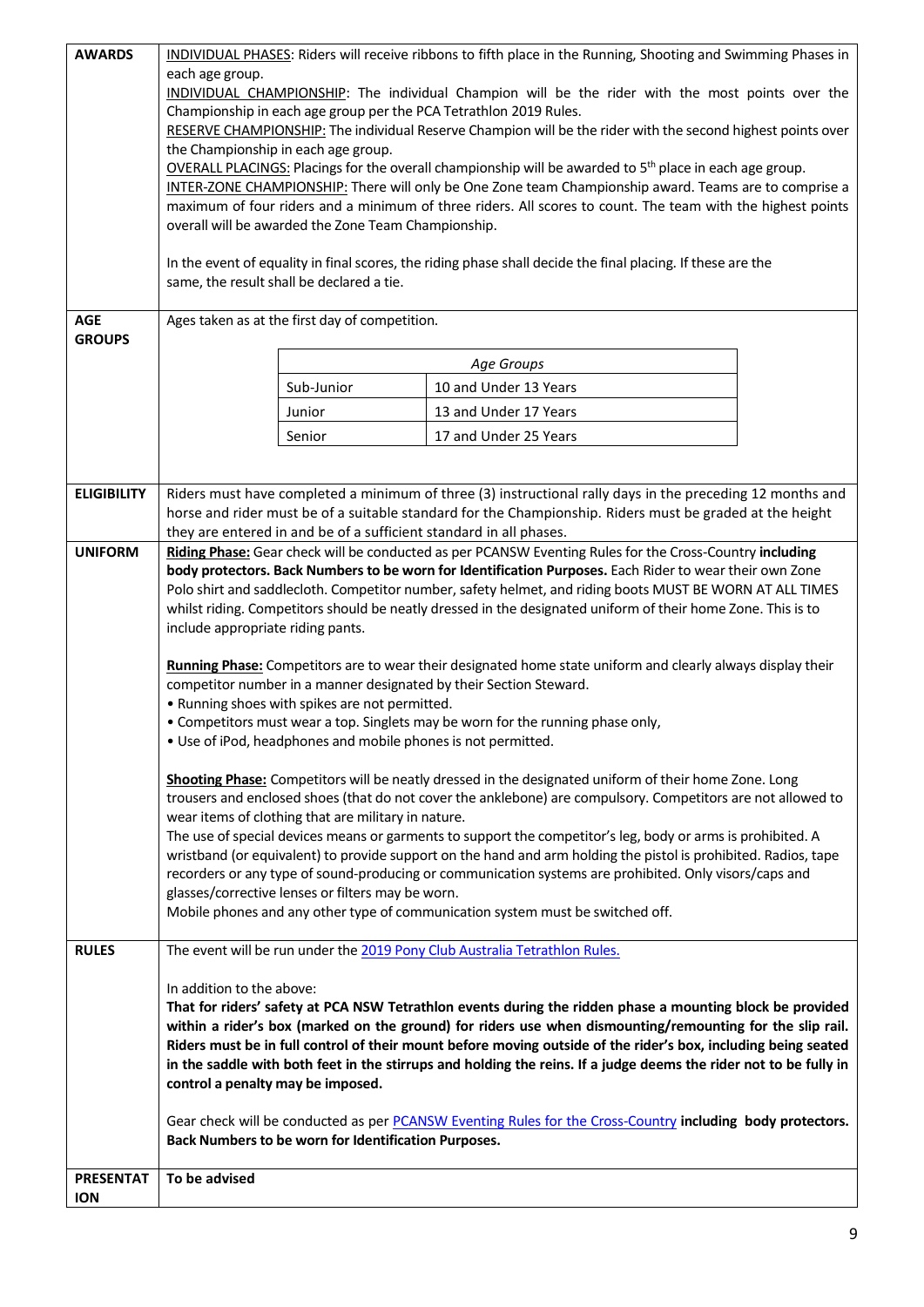| <b>AWARDS</b>                  | each age group.                                                                                                                                                       |                                                                                                                                                                     | INDIVIDUAL PHASES: Riders will receive ribbons to fifth place in the Running, Shooting and Swimming Phases in                                                                                                                       |  |  |  |
|--------------------------------|-----------------------------------------------------------------------------------------------------------------------------------------------------------------------|---------------------------------------------------------------------------------------------------------------------------------------------------------------------|-------------------------------------------------------------------------------------------------------------------------------------------------------------------------------------------------------------------------------------|--|--|--|
|                                | INDIVIDUAL CHAMPIONSHIP: The individual Champion will be the rider with the most points over the<br>Championship in each age group per the PCA Tetrathlon 2019 Rules. |                                                                                                                                                                     |                                                                                                                                                                                                                                     |  |  |  |
|                                |                                                                                                                                                                       |                                                                                                                                                                     | RESERVE CHAMPIONSHIP: The individual Reserve Champion will be the rider with the second highest points over                                                                                                                         |  |  |  |
|                                |                                                                                                                                                                       | the Championship in each age group.                                                                                                                                 |                                                                                                                                                                                                                                     |  |  |  |
|                                |                                                                                                                                                                       |                                                                                                                                                                     | <b>OVERALL PLACINGS:</b> Placings for the overall championship will be awarded to $5th$ place in each age group.<br>INTER-ZONE CHAMPIONSHIP: There will only be One Zone team Championship award. Teams are to comprise a           |  |  |  |
|                                |                                                                                                                                                                       |                                                                                                                                                                     | maximum of four riders and a minimum of three riders. All scores to count. The team with the highest points                                                                                                                         |  |  |  |
|                                |                                                                                                                                                                       | overall will be awarded the Zone Team Championship.                                                                                                                 |                                                                                                                                                                                                                                     |  |  |  |
|                                |                                                                                                                                                                       |                                                                                                                                                                     | In the event of equality in final scores, the riding phase shall decide the final placing. If these are the                                                                                                                         |  |  |  |
|                                |                                                                                                                                                                       | same, the result shall be declared a tie.                                                                                                                           |                                                                                                                                                                                                                                     |  |  |  |
| <b>AGE</b>                     |                                                                                                                                                                       | Ages taken as at the first day of competition.                                                                                                                      |                                                                                                                                                                                                                                     |  |  |  |
| <b>GROUPS</b>                  |                                                                                                                                                                       |                                                                                                                                                                     |                                                                                                                                                                                                                                     |  |  |  |
|                                |                                                                                                                                                                       |                                                                                                                                                                     | Age Groups                                                                                                                                                                                                                          |  |  |  |
|                                |                                                                                                                                                                       | Sub-Junior                                                                                                                                                          | 10 and Under 13 Years                                                                                                                                                                                                               |  |  |  |
|                                |                                                                                                                                                                       | Junior                                                                                                                                                              | 13 and Under 17 Years                                                                                                                                                                                                               |  |  |  |
|                                |                                                                                                                                                                       | Senior                                                                                                                                                              | 17 and Under 25 Years                                                                                                                                                                                                               |  |  |  |
|                                |                                                                                                                                                                       |                                                                                                                                                                     |                                                                                                                                                                                                                                     |  |  |  |
| <b>ELIGIBILITY</b>             |                                                                                                                                                                       |                                                                                                                                                                     | Riders must have completed a minimum of three (3) instructional rally days in the preceding 12 months and                                                                                                                           |  |  |  |
|                                |                                                                                                                                                                       |                                                                                                                                                                     | horse and rider must be of a suitable standard for the Championship. Riders must be graded at the height<br>they are entered in and be of a sufficient standard in all phases.                                                      |  |  |  |
| <b>UNIFORM</b>                 |                                                                                                                                                                       |                                                                                                                                                                     | Riding Phase: Gear check will be conducted as per PCANSW Eventing Rules for the Cross-Country including                                                                                                                             |  |  |  |
|                                |                                                                                                                                                                       |                                                                                                                                                                     | body protectors. Back Numbers to be worn for Identification Purposes. Each Rider to wear their own Zone<br>Polo shirt and saddlecloth. Competitor number, safety helmet, and riding boots MUST BE WORN AT ALL TIMES                 |  |  |  |
|                                |                                                                                                                                                                       |                                                                                                                                                                     | whilst riding. Competitors should be neatly dressed in the designated uniform of their home Zone. This is to                                                                                                                        |  |  |  |
|                                | include appropriate riding pants.                                                                                                                                     |                                                                                                                                                                     |                                                                                                                                                                                                                                     |  |  |  |
|                                | Running Phase: Competitors are to wear their designated home state uniform and clearly always display their                                                           |                                                                                                                                                                     |                                                                                                                                                                                                                                     |  |  |  |
|                                | competitor number in a manner designated by their Section Steward.                                                                                                    |                                                                                                                                                                     |                                                                                                                                                                                                                                     |  |  |  |
|                                | • Running shoes with spikes are not permitted.                                                                                                                        |                                                                                                                                                                     |                                                                                                                                                                                                                                     |  |  |  |
|                                | • Competitors must wear a top. Singlets may be worn for the running phase only,<br>. Use of iPod, headphones and mobile phones is not permitted.                      |                                                                                                                                                                     |                                                                                                                                                                                                                                     |  |  |  |
|                                |                                                                                                                                                                       |                                                                                                                                                                     |                                                                                                                                                                                                                                     |  |  |  |
|                                |                                                                                                                                                                       |                                                                                                                                                                     | Shooting Phase: Competitors will be neatly dressed in the designated uniform of their home Zone. Long                                                                                                                               |  |  |  |
|                                |                                                                                                                                                                       | trousers and enclosed shoes (that do not cover the anklebone) are compulsory. Competitors are not allowed to<br>wear items of clothing that are military in nature. |                                                                                                                                                                                                                                     |  |  |  |
|                                |                                                                                                                                                                       | The use of special devices means or garments to support the competitor's leg, body or arms is prohibited. A                                                         |                                                                                                                                                                                                                                     |  |  |  |
|                                |                                                                                                                                                                       |                                                                                                                                                                     | wristband (or equivalent) to provide support on the hand and arm holding the pistol is prohibited. Radios, tape                                                                                                                     |  |  |  |
|                                |                                                                                                                                                                       | glasses/corrective lenses or filters may be worn.                                                                                                                   | recorders or any type of sound-producing or communication systems are prohibited. Only visors/caps and                                                                                                                              |  |  |  |
|                                |                                                                                                                                                                       |                                                                                                                                                                     | Mobile phones and any other type of communication system must be switched off.                                                                                                                                                      |  |  |  |
| <b>RULES</b>                   |                                                                                                                                                                       |                                                                                                                                                                     | The event will be run under the 2019 Pony Club Australia Tetrathlon Rules.                                                                                                                                                          |  |  |  |
|                                | In addition to the above:                                                                                                                                             |                                                                                                                                                                     |                                                                                                                                                                                                                                     |  |  |  |
|                                |                                                                                                                                                                       |                                                                                                                                                                     | That for riders' safety at PCA NSW Tetrathlon events during the ridden phase a mounting block be provided                                                                                                                           |  |  |  |
|                                |                                                                                                                                                                       |                                                                                                                                                                     | within a rider's box (marked on the ground) for riders use when dismounting/remounting for the slip rail.                                                                                                                           |  |  |  |
|                                |                                                                                                                                                                       |                                                                                                                                                                     | Riders must be in full control of their mount before moving outside of the rider's box, including being seated<br>in the saddle with both feet in the stirrups and holding the reins. If a judge deems the rider not to be fully in |  |  |  |
|                                | control a penalty may be imposed.                                                                                                                                     |                                                                                                                                                                     |                                                                                                                                                                                                                                     |  |  |  |
|                                |                                                                                                                                                                       |                                                                                                                                                                     | Gear check will be conducted as per PCANSW Eventing Rules for the Cross-Country including body protectors.                                                                                                                          |  |  |  |
|                                |                                                                                                                                                                       | Back Numbers to be worn for Identification Purposes.                                                                                                                |                                                                                                                                                                                                                                     |  |  |  |
|                                |                                                                                                                                                                       |                                                                                                                                                                     |                                                                                                                                                                                                                                     |  |  |  |
| <b>PRESENTAT</b><br><b>ION</b> | To be advised                                                                                                                                                         |                                                                                                                                                                     |                                                                                                                                                                                                                                     |  |  |  |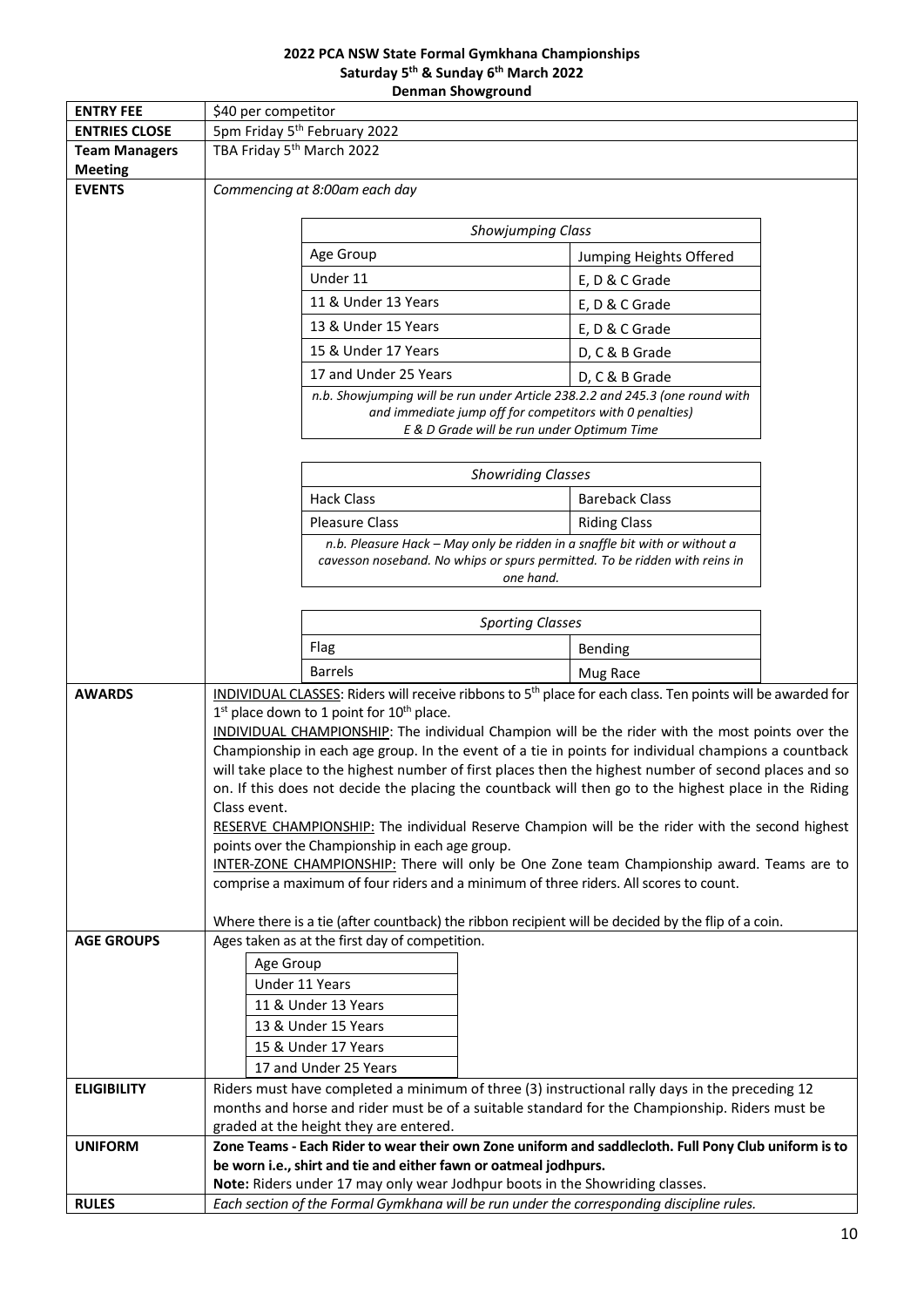### **2022 PCA NSW State Formal Gymkhana Championships Saturday 5 th & Sunday 6 th March 2022 Denman Showground**

|                                              | PENNIGH JNUWERUMIN                                                                                                                       |                                                                              |                                            |                                                                                                                                                          |  |
|----------------------------------------------|------------------------------------------------------------------------------------------------------------------------------------------|------------------------------------------------------------------------------|--------------------------------------------|----------------------------------------------------------------------------------------------------------------------------------------------------------|--|
| <b>ENTRY FEE</b>                             | \$40 per competitor                                                                                                                      |                                                                              |                                            |                                                                                                                                                          |  |
| <b>ENTRIES CLOSE</b><br><b>Team Managers</b> | 5pm Friday 5 <sup>th</sup> February 2022<br>TBA Friday 5 <sup>th</sup> March 2022                                                        |                                                                              |                                            |                                                                                                                                                          |  |
| <b>Meeting</b>                               |                                                                                                                                          |                                                                              |                                            |                                                                                                                                                          |  |
| <b>EVENTS</b>                                | Commencing at 8:00am each day                                                                                                            |                                                                              |                                            |                                                                                                                                                          |  |
|                                              |                                                                                                                                          |                                                                              |                                            |                                                                                                                                                          |  |
|                                              | Showjumping Class                                                                                                                        |                                                                              |                                            |                                                                                                                                                          |  |
|                                              |                                                                                                                                          | Age Group                                                                    |                                            | Jumping Heights Offered                                                                                                                                  |  |
|                                              |                                                                                                                                          | Under 11                                                                     |                                            | E, D & C Grade                                                                                                                                           |  |
|                                              |                                                                                                                                          | 11 & Under 13 Years                                                          |                                            | E, D & C Grade                                                                                                                                           |  |
|                                              |                                                                                                                                          | 13 & Under 15 Years                                                          |                                            | E, D & C Grade                                                                                                                                           |  |
|                                              |                                                                                                                                          | 15 & Under 17 Years                                                          |                                            | D, C & B Grade                                                                                                                                           |  |
|                                              |                                                                                                                                          | 17 and Under 25 Years                                                        |                                            | D, C & B Grade                                                                                                                                           |  |
|                                              |                                                                                                                                          |                                                                              |                                            | n.b. Showjumping will be run under Article 238.2.2 and 245.3 (one round with                                                                             |  |
|                                              |                                                                                                                                          |                                                                              |                                            | and immediate jump off for competitors with 0 penalties)                                                                                                 |  |
|                                              |                                                                                                                                          |                                                                              | E & D Grade will be run under Optimum Time |                                                                                                                                                          |  |
|                                              |                                                                                                                                          |                                                                              |                                            |                                                                                                                                                          |  |
|                                              |                                                                                                                                          |                                                                              | <b>Showriding Classes</b>                  |                                                                                                                                                          |  |
|                                              |                                                                                                                                          | <b>Hack Class</b>                                                            |                                            | <b>Bareback Class</b>                                                                                                                                    |  |
|                                              |                                                                                                                                          | <b>Pleasure Class</b>                                                        |                                            | <b>Riding Class</b>                                                                                                                                      |  |
|                                              |                                                                                                                                          |                                                                              |                                            | n.b. Pleasure Hack - May only be ridden in a snaffle bit with or without a<br>cavesson noseband. No whips or spurs permitted. To be ridden with reins in |  |
|                                              |                                                                                                                                          |                                                                              | one hand.                                  |                                                                                                                                                          |  |
|                                              |                                                                                                                                          |                                                                              |                                            |                                                                                                                                                          |  |
|                                              | <b>Sporting Classes</b>                                                                                                                  |                                                                              |                                            |                                                                                                                                                          |  |
|                                              |                                                                                                                                          | Flag                                                                         |                                            | Bending                                                                                                                                                  |  |
|                                              |                                                                                                                                          | <b>Barrels</b>                                                               |                                            | Mug Race                                                                                                                                                 |  |
| <b>AWARDS</b>                                |                                                                                                                                          |                                                                              |                                            | INDIVIDUAL CLASSES: Riders will receive ribbons to 5 <sup>th</sup> place for each class. Ten points will be awarded for                                  |  |
|                                              | $1st$ place down to 1 point for $10th$ place.                                                                                            |                                                                              |                                            |                                                                                                                                                          |  |
|                                              | INDIVIDUAL CHAMPIONSHIP: The individual Champion will be the rider with the most points over the                                         |                                                                              |                                            |                                                                                                                                                          |  |
|                                              | Championship in each age group. In the event of a tie in points for individual champions a countback                                     |                                                                              |                                            |                                                                                                                                                          |  |
|                                              | will take place to the highest number of first places then the highest number of second places and so                                    |                                                                              |                                            |                                                                                                                                                          |  |
|                                              | on. If this does not decide the placing the countback will then go to the highest place in the Riding<br>Class event.                    |                                                                              |                                            |                                                                                                                                                          |  |
|                                              | RESERVE CHAMPIONSHIP: The individual Reserve Champion will be the rider with the second highest                                          |                                                                              |                                            |                                                                                                                                                          |  |
|                                              | points over the Championship in each age group.                                                                                          |                                                                              |                                            |                                                                                                                                                          |  |
|                                              | INTER-ZONE CHAMPIONSHIP: There will only be One Zone team Championship award. Teams are to                                               |                                                                              |                                            |                                                                                                                                                          |  |
|                                              | comprise a maximum of four riders and a minimum of three riders. All scores to count.                                                    |                                                                              |                                            |                                                                                                                                                          |  |
|                                              |                                                                                                                                          |                                                                              |                                            | Where there is a tie (after countback) the ribbon recipient will be decided by the flip of a coin.                                                       |  |
| <b>AGE GROUPS</b>                            |                                                                                                                                          | Ages taken as at the first day of competition.                               |                                            |                                                                                                                                                          |  |
|                                              | Age Group                                                                                                                                |                                                                              |                                            |                                                                                                                                                          |  |
|                                              |                                                                                                                                          | Under 11 Years                                                               |                                            |                                                                                                                                                          |  |
|                                              |                                                                                                                                          | 11 & Under 13 Years                                                          |                                            |                                                                                                                                                          |  |
|                                              |                                                                                                                                          | 13 & Under 15 Years                                                          |                                            |                                                                                                                                                          |  |
|                                              |                                                                                                                                          | 15 & Under 17 Years                                                          |                                            |                                                                                                                                                          |  |
|                                              |                                                                                                                                          | 17 and Under 25 Years                                                        |                                            |                                                                                                                                                          |  |
| <b>ELIGIBILITY</b>                           |                                                                                                                                          |                                                                              |                                            | Riders must have completed a minimum of three (3) instructional rally days in the preceding 12                                                           |  |
|                                              | months and horse and rider must be of a suitable standard for the Championship. Riders must be<br>graded at the height they are entered. |                                                                              |                                            |                                                                                                                                                          |  |
| <b>UNIFORM</b>                               |                                                                                                                                          |                                                                              |                                            | Zone Teams - Each Rider to wear their own Zone uniform and saddlecloth. Full Pony Club uniform is to                                                     |  |
|                                              |                                                                                                                                          | be worn i.e., shirt and tie and either fawn or oatmeal jodhpurs.             |                                            |                                                                                                                                                          |  |
|                                              |                                                                                                                                          | Note: Riders under 17 may only wear Jodhpur boots in the Showriding classes. |                                            |                                                                                                                                                          |  |
| <b>RULES</b>                                 |                                                                                                                                          |                                                                              |                                            | Each section of the Formal Gymkhana will be run under the corresponding discipline rules.                                                                |  |